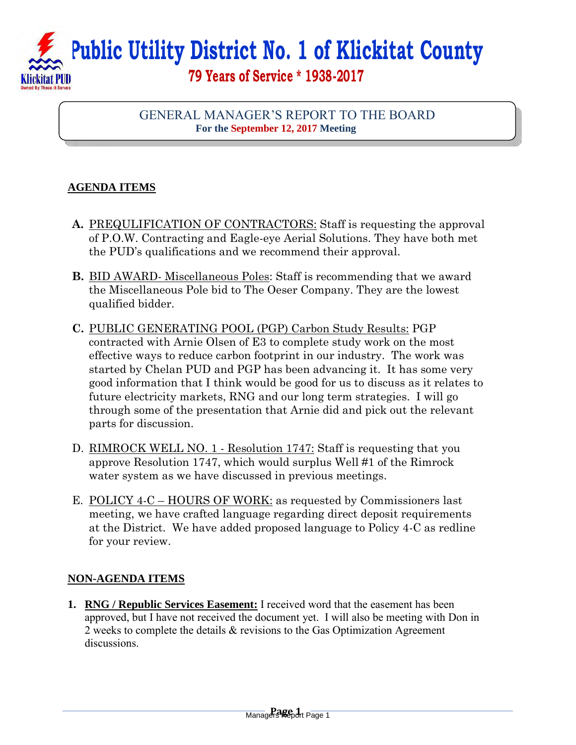## **Public Utility District No. 1 of Klickitat County 79 Years of Service \* 1938-2017**

## GENERAL MANAGER'S REPORT TO THE BOARD **For the September 12, 2017 Meeting**

## **AGENDA ITEMS**

I

- **A.** PREQULIFICATION OF CONTRACTORS: Staff is requesting the approval of P.O.W. Contracting and Eagle-eye Aerial Solutions. They have both met the PUD's qualifications and we recommend their approval.
- **B.** BID AWARD- Miscellaneous Poles: Staff is recommending that we award the Miscellaneous Pole bid to The Oeser Company. They are the lowest qualified bidder.
- **C.** PUBLIC GENERATING POOL (PGP) Carbon Study Results: PGP contracted with Arnie Olsen of E3 to complete study work on the most effective ways to reduce carbon footprint in our industry. The work was started by Chelan PUD and PGP has been advancing it. It has some very good information that I think would be good for us to discuss as it relates to future electricity markets, RNG and our long term strategies. I will go through some of the presentation that Arnie did and pick out the relevant parts for discussion.
- D. RIMROCK WELL NO. 1 Resolution 1747: Staff is requesting that you approve Resolution 1747, which would surplus Well #1 of the Rimrock water system as we have discussed in previous meetings.
- E. POLICY 4-C HOURS OF WORK: as requested by Commissioners last meeting, we have crafted language regarding direct deposit requirements at the District. We have added proposed language to Policy 4-C as redline for your review.

## **NON-AGENDA ITEMS**

**1. RNG / Republic Services Easement:** I received word that the easement has been approved, but I have not received the document yet. I will also be meeting with Don in 2 weeks to complete the details & revisions to the Gas Optimization Agreement discussions.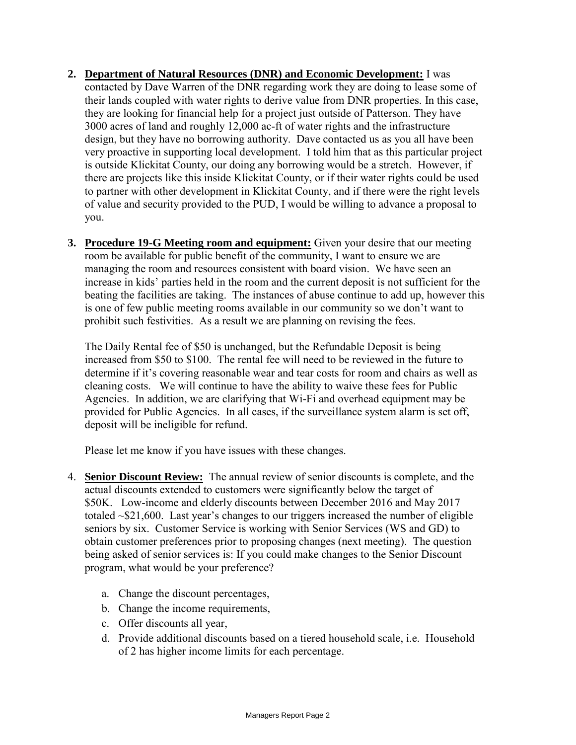- **2. Department of Natural Resources (DNR) and Economic Development:** I was contacted by Dave Warren of the DNR regarding work they are doing to lease some of their lands coupled with water rights to derive value from DNR properties. In this case, they are looking for financial help for a project just outside of Patterson. They have 3000 acres of land and roughly 12,000 ac-ft of water rights and the infrastructure design, but they have no borrowing authority. Dave contacted us as you all have been very proactive in supporting local development. I told him that as this particular project is outside Klickitat County, our doing any borrowing would be a stretch. However, if there are projects like this inside Klickitat County, or if their water rights could be used to partner with other development in Klickitat County, and if there were the right levels of value and security provided to the PUD, I would be willing to advance a proposal to you.
- **3. Procedure 19-G Meeting room and equipment:** Given your desire that our meeting room be available for public benefit of the community, I want to ensure we are managing the room and resources consistent with board vision. We have seen an increase in kids' parties held in the room and the current deposit is not sufficient for the beating the facilities are taking. The instances of abuse continue to add up, however this is one of few public meeting rooms available in our community so we don't want to prohibit such festivities. As a result we are planning on revising the fees.

The Daily Rental fee of \$50 is unchanged, but the Refundable Deposit is being increased from \$50 to \$100. The rental fee will need to be reviewed in the future to determine if it's covering reasonable wear and tear costs for room and chairs as well as cleaning costs. We will continue to have the ability to waive these fees for Public Agencies. In addition, we are clarifying that Wi-Fi and overhead equipment may be provided for Public Agencies. In all cases, if the surveillance system alarm is set off, deposit will be ineligible for refund.

Please let me know if you have issues with these changes.

- 4. **Senior Discount Review:** The annual review of senior discounts is complete, and the actual discounts extended to customers were significantly below the target of \$50K. Low-income and elderly discounts between December 2016 and May 2017 totaled ~\$21,600. Last year's changes to our triggers increased the number of eligible seniors by six. Customer Service is working with Senior Services (WS and GD) to obtain customer preferences prior to proposing changes (next meeting). The question being asked of senior services is: If you could make changes to the Senior Discount program, what would be your preference?
	- a. Change the discount percentages,
	- b. Change the income requirements,
	- c. Offer discounts all year,
	- d. Provide additional discounts based on a tiered household scale, i.e. Household of 2 has higher income limits for each percentage.